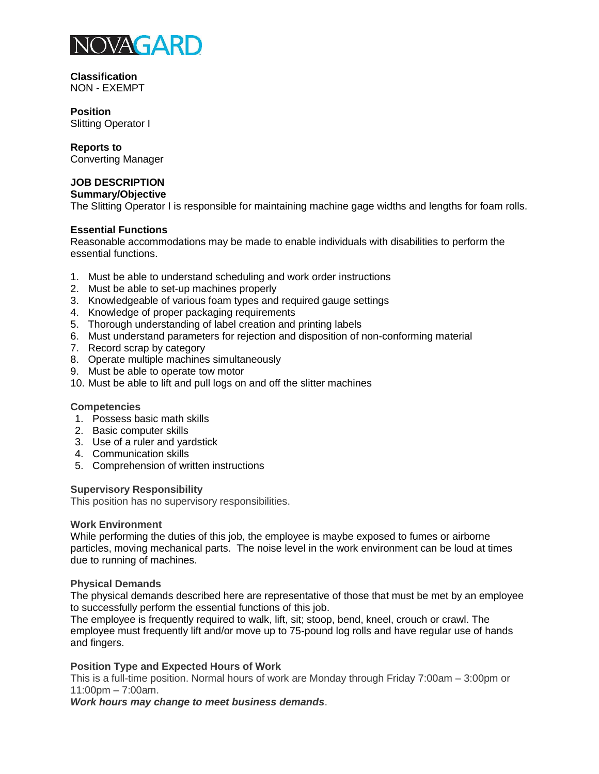

**Classification** NON - EXEMPT

**Position** Slitting Operator I

**Reports to**

Converting Manager

# **JOB DESCRIPTION**

**Summary/Objective** 

The Slitting Operator I is responsible for maintaining machine gage widths and lengths for foam rolls.

## **Essential Functions**

Reasonable accommodations may be made to enable individuals with disabilities to perform the essential functions.

- 1. Must be able to understand scheduling and work order instructions
- 2. Must be able to set-up machines properly
- 3. Knowledgeable of various foam types and required gauge settings
- 4. Knowledge of proper packaging requirements
- 5. Thorough understanding of label creation and printing labels
- 6. Must understand parameters for rejection and disposition of non-conforming material
- 7. Record scrap by category
- 8. Operate multiple machines simultaneously
- 9. Must be able to operate tow motor
- 10. Must be able to lift and pull logs on and off the slitter machines

### **Competencies**

- 1. Possess basic math skills
- 2. Basic computer skills
- 3. Use of a ruler and yardstick
- 4. Communication skills
- 5. Comprehension of written instructions

### **Supervisory Responsibility**

This position has no supervisory responsibilities.

### **Work Environment**

While performing the duties of this job, the employee is maybe exposed to fumes or airborne particles, moving mechanical parts. The noise level in the work environment can be loud at times due to running of machines.

## **Physical Demands**

The physical demands described here are representative of those that must be met by an employee to successfully perform the essential functions of this job.

The employee is frequently required to walk, lift, sit; stoop, bend, kneel, crouch or crawl. The employee must frequently lift and/or move up to 75-pound log rolls and have regular use of hands and fingers.

# **Position Type and Expected Hours of Work**

This is a full-time position. Normal hours of work are Monday through Friday 7:00am – 3:00pm or 11:00pm – 7:00am.

*Work hours may change to meet business demands*.